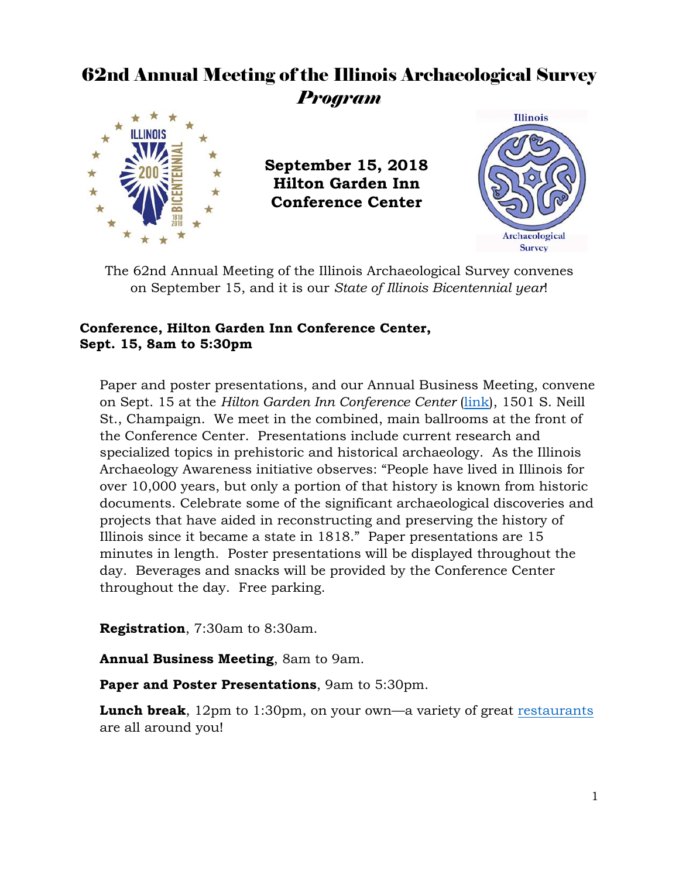# 62nd Annual Meeting of the Illinois Archaeological Survey *Program*



**September 15, 2018 Hilton Garden Inn Conference Center**



The 62nd Annual Meeting of the Illinois Archaeological Survey convenes on September 15, and it is our *State of Illinois Bicentennial year*!

# **Conference, Hilton Garden Inn Conference Center, Sept. 15, 8am to 5:30pm**

Paper and poster presentations, and our Annual Business Meeting, convene on Sept. 15 at the *Hilton Garden Inn Conference Center* [\(link\)](http://hiltongardeninn3.hilton.com/en/hotels/illinois/hilton-garden-inn-champaign-urbana-CMICHGI/index.html), 1501 S. Neill St., Champaign. We meet in the combined, main ballrooms at the front of the Conference Center. Presentations include current research and specialized topics in prehistoric and historical archaeology. As the Illinois Archaeology Awareness initiative observes: "People have lived in Illinois for over 10,000 years, but only a portion of that history is known from historic documents. Celebrate some of the significant archaeological discoveries and projects that have aided in reconstructing and preserving the history of Illinois since it became a state in 1818." Paper presentations are 15 minutes in length. Poster presentations will be displayed throughout the day. Beverages and snacks will be provided by the Conference Center throughout the day. Free parking.

**Registration**, 7:30am to 8:30am.

**Annual Business Meeting**, 8am to 9am.

**Paper and Poster Presentations**, 9am to 5:30pm.

**Lunch break**, 12pm to 1:30pm, on your own—a variety of great [restaurants](https://www.tripadvisor.com/Restaurants-g35790-Champaign_Champaign_Urbana_Illinois.html#MAPVIEW) are all around you!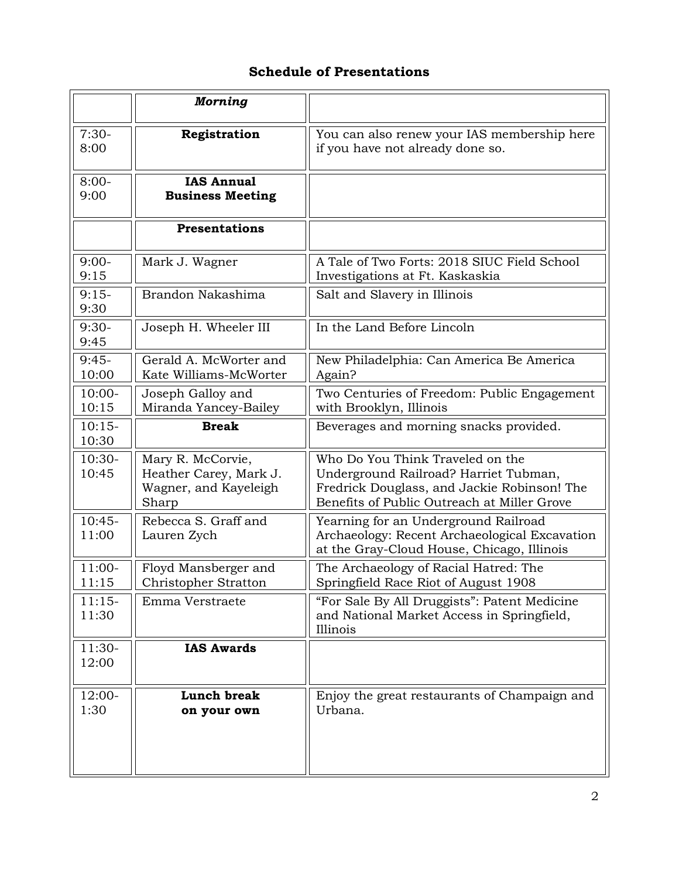# **Schedule of Presentations**

|                   | <b>Morning</b>                                                                |                                                                                                                                                                         |
|-------------------|-------------------------------------------------------------------------------|-------------------------------------------------------------------------------------------------------------------------------------------------------------------------|
| $7:30-$<br>8:00   | Registration                                                                  | You can also renew your IAS membership here<br>if you have not already done so.                                                                                         |
| $8:00-$<br>9:00   | <b>IAS Annual</b><br><b>Business Meeting</b>                                  |                                                                                                                                                                         |
|                   | <b>Presentations</b>                                                          |                                                                                                                                                                         |
| $9:00-$<br>9:15   | Mark J. Wagner                                                                | A Tale of Two Forts: 2018 SIUC Field School<br>Investigations at Ft. Kaskaskia                                                                                          |
| $9:15-$<br>9:30   | Brandon Nakashima                                                             | Salt and Slavery in Illinois                                                                                                                                            |
| $9:30-$<br>9:45   | Joseph H. Wheeler III                                                         | In the Land Before Lincoln                                                                                                                                              |
| $9:45-$<br>10:00  | Gerald A. McWorter and<br>Kate Williams-McWorter                              | New Philadelphia: Can America Be America<br>Again?                                                                                                                      |
| $10:00-$<br>10:15 | Joseph Galloy and<br>Miranda Yancey-Bailey                                    | Two Centuries of Freedom: Public Engagement<br>with Brooklyn, Illinois                                                                                                  |
| $10:15-$<br>10:30 | <b>Break</b>                                                                  | Beverages and morning snacks provided.                                                                                                                                  |
| $10:30-$<br>10:45 | Mary R. McCorvie,<br>Heather Carey, Mark J.<br>Wagner, and Kayeleigh<br>Sharp | Who Do You Think Traveled on the<br>Underground Railroad? Harriet Tubman,<br>Fredrick Douglass, and Jackie Robinson! The<br>Benefits of Public Outreach at Miller Grove |
| $10:45-$<br>11:00 | Rebecca S. Graff and<br>Lauren Zych                                           | Yearning for an Underground Railroad<br>Archaeology: Recent Archaeological Excavation<br>at the Gray-Cloud House, Chicago, Illinois                                     |
| $11:00-$<br>11:15 | Floyd Mansberger and<br>Christopher Stratton                                  | The Archaeology of Racial Hatred: The<br>Springfield Race Riot of August 1908                                                                                           |
| $11:15-$<br>11:30 | Emma Verstraete                                                               | "For Sale By All Druggists": Patent Medicine<br>and National Market Access in Springfield,<br>Illinois                                                                  |
| $11:30-$<br>12:00 | <b>IAS Awards</b>                                                             |                                                                                                                                                                         |
| 12:00-<br>1:30    | Lunch break<br>on your own                                                    | Enjoy the great restaurants of Champaign and<br>Urbana.                                                                                                                 |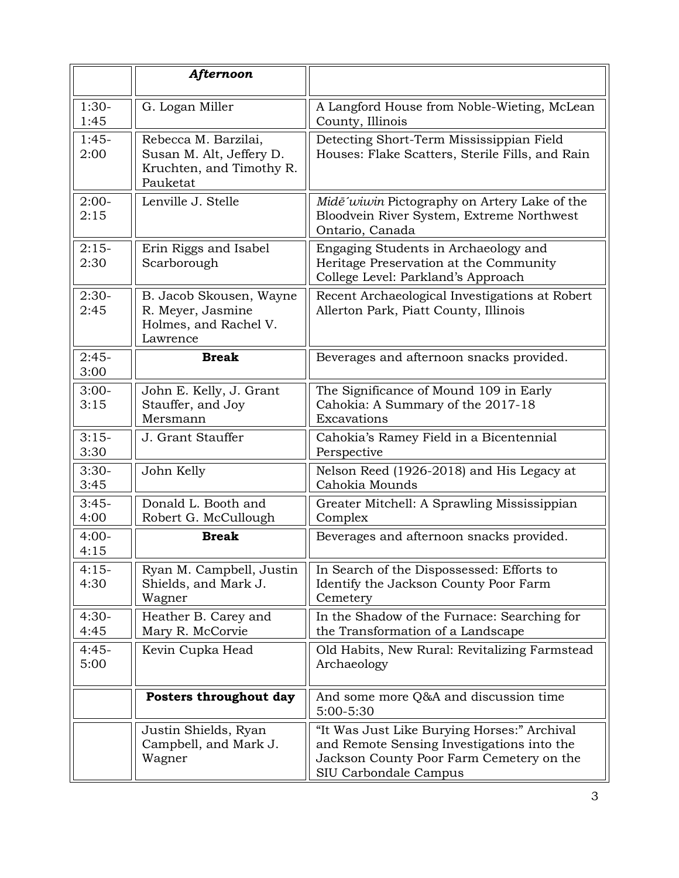|                 | Afternoon                                                                                |                                                                                                                                                                |
|-----------------|------------------------------------------------------------------------------------------|----------------------------------------------------------------------------------------------------------------------------------------------------------------|
| $1:30-$<br>1:45 | G. Logan Miller                                                                          | A Langford House from Noble-Wieting, McLean<br>County, Illinois                                                                                                |
| $1:45-$<br>2:00 | Rebecca M. Barzilai,<br>Susan M. Alt, Jeffery D.<br>Kruchten, and Timothy R.<br>Pauketat | Detecting Short-Term Mississippian Field<br>Houses: Flake Scatters, Sterile Fills, and Rain                                                                    |
| $2:00-$<br>2:15 | Lenville J. Stelle                                                                       | Midē'wiwin Pictography on Artery Lake of the<br>Bloodvein River System, Extreme Northwest<br>Ontario, Canada                                                   |
| $2:15-$<br>2:30 | Erin Riggs and Isabel<br>Scarborough                                                     | Engaging Students in Archaeology and<br>Heritage Preservation at the Community<br>College Level: Parkland's Approach                                           |
| $2:30-$<br>2:45 | B. Jacob Skousen, Wayne<br>R. Meyer, Jasmine<br>Holmes, and Rachel V.<br>Lawrence        | Recent Archaeological Investigations at Robert<br>Allerton Park, Piatt County, Illinois                                                                        |
| $2:45-$<br>3:00 | <b>Break</b>                                                                             | Beverages and afternoon snacks provided.                                                                                                                       |
| $3:00-$<br>3:15 | John E. Kelly, J. Grant<br>Stauffer, and Joy<br>Mersmann                                 | The Significance of Mound 109 in Early<br>Cahokia: A Summary of the 2017-18<br>Excavations                                                                     |
| $3:15-$<br>3:30 | J. Grant Stauffer                                                                        | Cahokia's Ramey Field in a Bicentennial<br>Perspective                                                                                                         |
| $3:30-$<br>3:45 | John Kelly                                                                               | Nelson Reed (1926-2018) and His Legacy at<br>Cahokia Mounds                                                                                                    |
| $3:45-$<br>4:00 | Donald L. Booth and<br>Robert G. McCullough                                              | Greater Mitchell: A Sprawling Mississippian<br>Complex                                                                                                         |
| $4:00-$<br>4:15 | <b>Break</b>                                                                             | Beverages and afternoon snacks provided.                                                                                                                       |
| $4:15-$<br>4:30 | Ryan M. Campbell, Justin<br>Shields, and Mark J.<br>Wagner                               | In Search of the Dispossessed: Efforts to<br>Identify the Jackson County Poor Farm<br>Cemetery                                                                 |
| $4:30-$<br>4:45 | Heather B. Carey and<br>Mary R. McCorvie                                                 | In the Shadow of the Furnace: Searching for<br>the Transformation of a Landscape                                                                               |
| $4:45-$<br>5:00 | Kevin Cupka Head                                                                         | Old Habits, New Rural: Revitalizing Farmstead<br>Archaeology                                                                                                   |
|                 | Posters throughout day                                                                   | And some more Q&A and discussion time<br>5:00-5:30                                                                                                             |
|                 | Justin Shields, Ryan<br>Campbell, and Mark J.<br>Wagner                                  | "It Was Just Like Burying Horses:" Archival<br>and Remote Sensing Investigations into the<br>Jackson County Poor Farm Cemetery on the<br>SIU Carbondale Campus |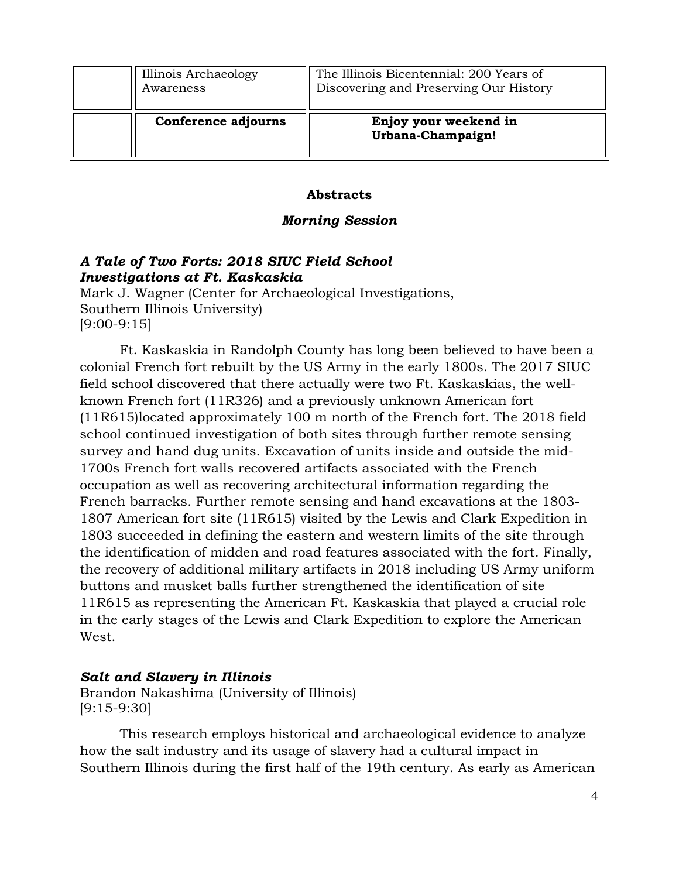| Illinois Archaeology<br>Awareness | The Illinois Bicentennial: 200 Years of<br>Discovering and Preserving Our History |
|-----------------------------------|-----------------------------------------------------------------------------------|
| Conference adjourns               | Enjoy your weekend in<br>Urbana-Champaign!                                        |

#### **Abstracts**

#### *Morning Session*

# *A Tale of Two Forts: 2018 SIUC Field School Investigations at Ft. Kaskaskia*

Mark J. Wagner (Center for Archaeological Investigations, Southern Illinois University) [9:00-9:15]

Ft. Kaskaskia in Randolph County has long been believed to have been a colonial French fort rebuilt by the US Army in the early 1800s. The 2017 SIUC field school discovered that there actually were two Ft. Kaskaskias, the wellknown French fort (11R326) and a previously unknown American fort (11R615)located approximately 100 m north of the French fort. The 2018 field school continued investigation of both sites through further remote sensing survey and hand dug units. Excavation of units inside and outside the mid-1700s French fort walls recovered artifacts associated with the French occupation as well as recovering architectural information regarding the French barracks. Further remote sensing and hand excavations at the 1803- 1807 American fort site (11R615) visited by the Lewis and Clark Expedition in 1803 succeeded in defining the eastern and western limits of the site through the identification of midden and road features associated with the fort. Finally, the recovery of additional military artifacts in 2018 including US Army uniform buttons and musket balls further strengthened the identification of site 11R615 as representing the American Ft. Kaskaskia that played a crucial role in the early stages of the Lewis and Clark Expedition to explore the American West.

# *Salt and Slavery in Illinois*

Brandon Nakashima (University of Illinois) [9:15-9:30]

This research employs historical and archaeological evidence to analyze how the salt industry and its usage of slavery had a cultural impact in Southern Illinois during the first half of the 19th century. As early as American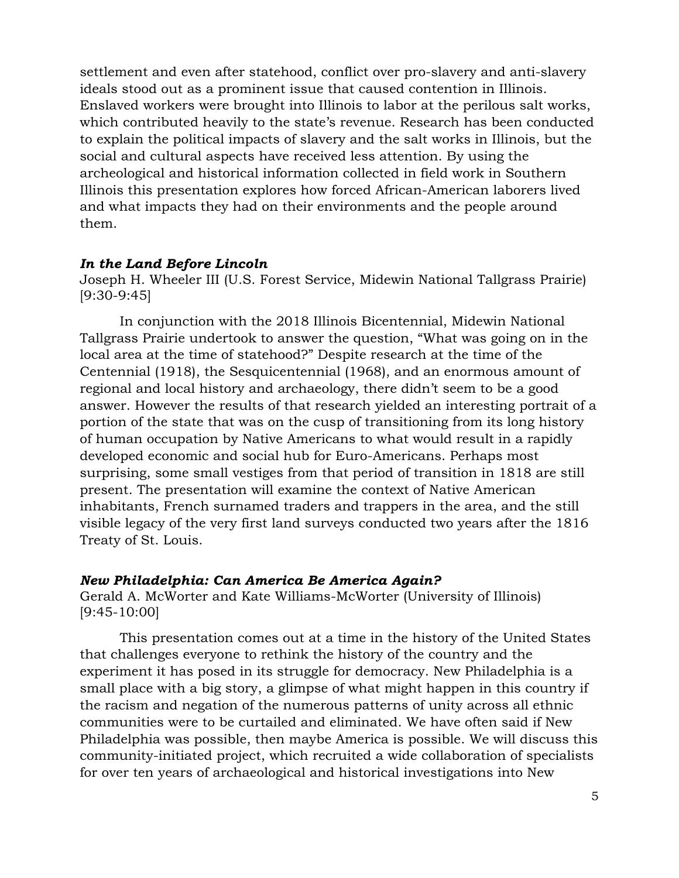settlement and even after statehood, conflict over pro-slavery and anti-slavery ideals stood out as a prominent issue that caused contention in Illinois. Enslaved workers were brought into Illinois to labor at the perilous salt works, which contributed heavily to the state's revenue. Research has been conducted to explain the political impacts of slavery and the salt works in Illinois, but the social and cultural aspects have received less attention. By using the archeological and historical information collected in field work in Southern Illinois this presentation explores how forced African-American laborers lived and what impacts they had on their environments and the people around them.

### *In the Land Before Lincoln*

Joseph H. Wheeler III (U.S. Forest Service, Midewin National Tallgrass Prairie) [9:30-9:45]

In conjunction with the 2018 Illinois Bicentennial, Midewin National Tallgrass Prairie undertook to answer the question, "What was going on in the local area at the time of statehood?" Despite research at the time of the Centennial (1918), the Sesquicentennial (1968), and an enormous amount of regional and local history and archaeology, there didn't seem to be a good answer. However the results of that research yielded an interesting portrait of a portion of the state that was on the cusp of transitioning from its long history of human occupation by Native Americans to what would result in a rapidly developed economic and social hub for Euro-Americans. Perhaps most surprising, some small vestiges from that period of transition in 1818 are still present. The presentation will examine the context of Native American inhabitants, French surnamed traders and trappers in the area, and the still visible legacy of the very first land surveys conducted two years after the 1816 Treaty of St. Louis.

# *New Philadelphia: Can America Be America Again?*

Gerald A. McWorter and Kate Williams-McWorter (University of Illinois) [9:45-10:00]

This presentation comes out at a time in the history of the United States that challenges everyone to rethink the history of the country and the experiment it has posed in its struggle for democracy. New Philadelphia is a small place with a big story, a glimpse of what might happen in this country if the racism and negation of the numerous patterns of unity across all ethnic communities were to be curtailed and eliminated. We have often said if New Philadelphia was possible, then maybe America is possible. We will discuss this community-initiated project, which recruited a wide collaboration of specialists for over ten years of archaeological and historical investigations into New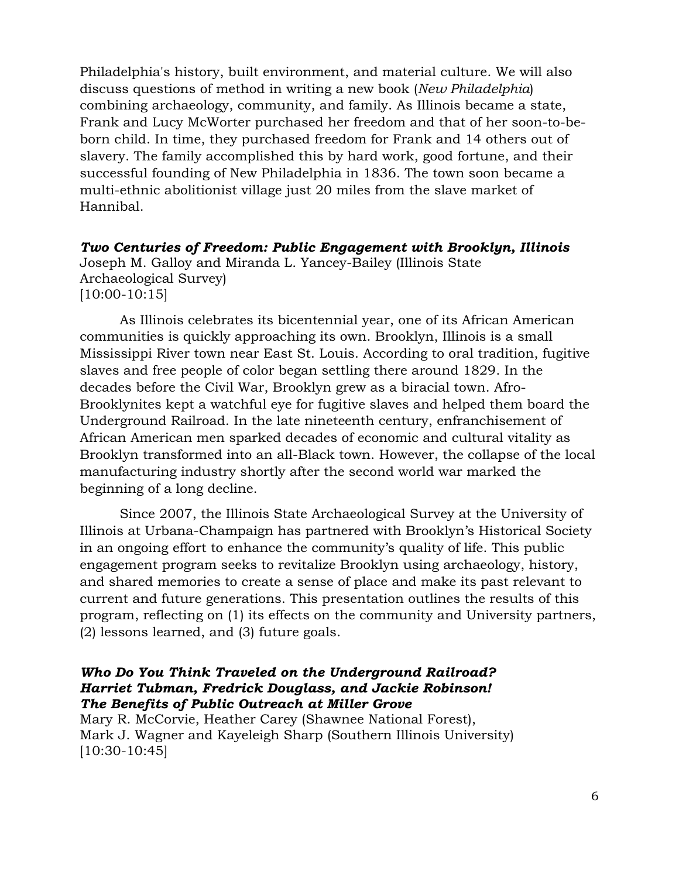Philadelphia's history, built environment, and material culture. We will also discuss questions of method in writing a new book (*New Philadelphia*) combining archaeology, community, and family. As Illinois became a state, Frank and Lucy McWorter purchased her freedom and that of her soon-to-beborn child. In time, they purchased freedom for Frank and 14 others out of slavery. The family accomplished this by hard work, good fortune, and their successful founding of New Philadelphia in 1836. The town soon became a multi-ethnic abolitionist village just 20 miles from the slave market of Hannibal.

*Two Centuries of Freedom: Public Engagement with Brooklyn, Illinois* Joseph M. Galloy and Miranda L. Yancey-Bailey (Illinois State Archaeological Survey) [10:00-10:15]

As Illinois celebrates its bicentennial year, one of its African American communities is quickly approaching its own. Brooklyn, Illinois is a small Mississippi River town near East St. Louis. According to oral tradition, fugitive slaves and free people of color began settling there around 1829. In the decades before the Civil War, Brooklyn grew as a biracial town. Afro-Brooklynites kept a watchful eye for fugitive slaves and helped them board the Underground Railroad. In the late nineteenth century, enfranchisement of African American men sparked decades of economic and cultural vitality as Brooklyn transformed into an all-Black town. However, the collapse of the local manufacturing industry shortly after the second world war marked the beginning of a long decline.

Since 2007, the Illinois State Archaeological Survey at the University of Illinois at Urbana-Champaign has partnered with Brooklyn's Historical Society in an ongoing effort to enhance the community's quality of life. This public engagement program seeks to revitalize Brooklyn using archaeology, history, and shared memories to create a sense of place and make its past relevant to current and future generations. This presentation outlines the results of this program, reflecting on (1) its effects on the community and University partners, (2) lessons learned, and (3) future goals.

### *Who Do You Think Traveled on the Underground Railroad? Harriet Tubman, Fredrick Douglass, and Jackie Robinson! The Benefits of Public Outreach at Miller Grove*

Mary R. McCorvie, Heather Carey (Shawnee National Forest), Mark J. Wagner and Kayeleigh Sharp (Southern Illinois University) [10:30-10:45]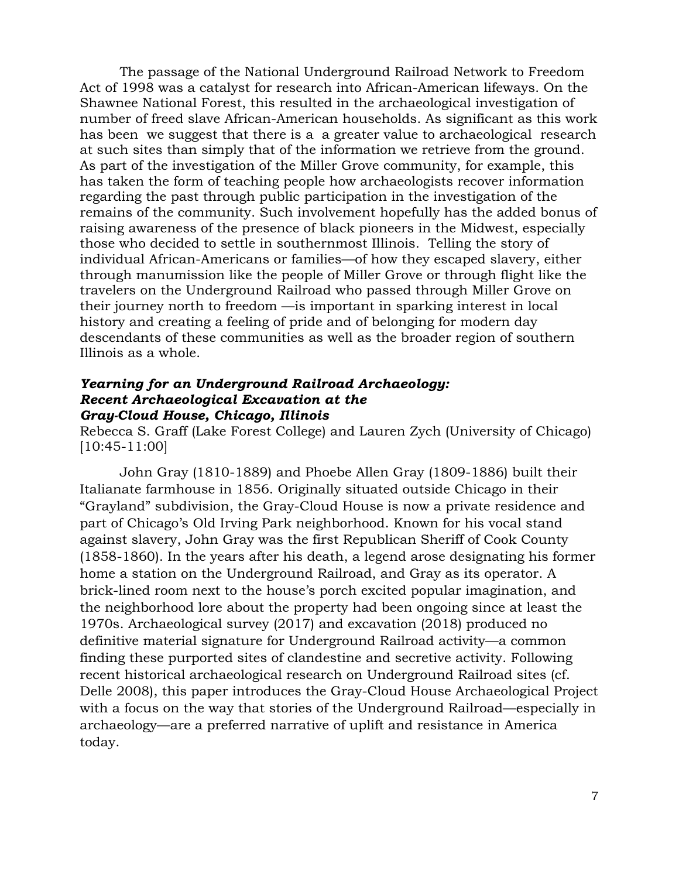The passage of the National Underground Railroad Network to Freedom Act of 1998 was a catalyst for research into African-American lifeways. On the Shawnee National Forest, this resulted in the archaeological investigation of number of freed slave African-American households. As significant as this work has been we suggest that there is a a greater value to archaeological research at such sites than simply that of the information we retrieve from the ground. As part of the investigation of the Miller Grove community, for example, this has taken the form of teaching people how archaeologists recover information regarding the past through public participation in the investigation of the remains of the community. Such involvement hopefully has the added bonus of raising awareness of the presence of black pioneers in the Midwest, especially those who decided to settle in southernmost Illinois. Telling the story of individual African-Americans or families—of how they escaped slavery, either through manumission like the people of Miller Grove or through flight like the travelers on the Underground Railroad who passed through Miller Grove on their journey north to freedom —is important in sparking interest in local history and creating a feeling of pride and of belonging for modern day descendants of these communities as well as the broader region of southern Illinois as a whole.

#### *Yearning for an Underground Railroad Archaeology: Recent Archaeological Excavation at the Gray-Cloud House, Chicago, Illinois*

Rebecca S. Graff (Lake Forest College) and Lauren Zych (University of Chicago) [10:45-11:00]

John Gray (1810-1889) and Phoebe Allen Gray (1809-1886) built their Italianate farmhouse in 1856. Originally situated outside Chicago in their "Grayland" subdivision, the Gray-Cloud House is now a private residence and part of Chicago's Old Irving Park neighborhood. Known for his vocal stand against slavery, John Gray was the first Republican Sheriff of Cook County (1858-1860). In the years after his death, a legend arose designating his former home a station on the Underground Railroad, and Gray as its operator. A brick-lined room next to the house's porch excited popular imagination, and the neighborhood lore about the property had been ongoing since at least the 1970s. Archaeological survey (2017) and excavation (2018) produced no definitive material signature for Underground Railroad activity—a common finding these purported sites of clandestine and secretive activity. Following recent historical archaeological research on Underground Railroad sites (cf. Delle 2008), this paper introduces the Gray-Cloud House Archaeological Project with a focus on the way that stories of the Underground Railroad—especially in archaeology—are a preferred narrative of uplift and resistance in America today.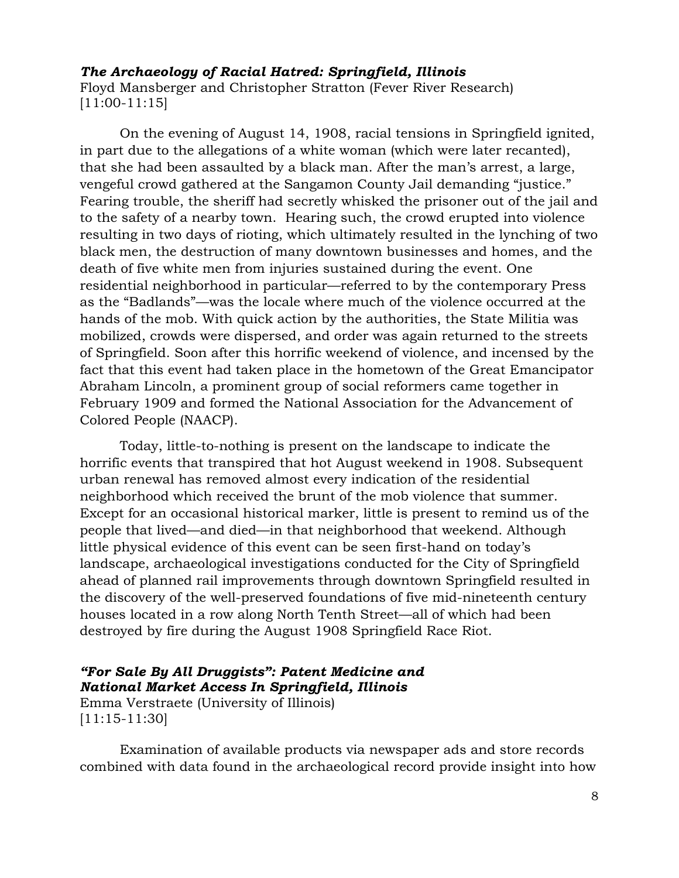#### *The Archaeology of Racial Hatred: Springfield, Illinois*

Floyd Mansberger and Christopher Stratton (Fever River Research) [11:00-11:15]

On the evening of August 14, 1908, racial tensions in Springfield ignited, in part due to the allegations of a white woman (which were later recanted), that she had been assaulted by a black man. After the man's arrest, a large, vengeful crowd gathered at the Sangamon County Jail demanding "justice." Fearing trouble, the sheriff had secretly whisked the prisoner out of the jail and to the safety of a nearby town. Hearing such, the crowd erupted into violence resulting in two days of rioting, which ultimately resulted in the lynching of two black men, the destruction of many downtown businesses and homes, and the death of five white men from injuries sustained during the event. One residential neighborhood in particular—referred to by the contemporary Press as the "Badlands"—was the locale where much of the violence occurred at the hands of the mob. With quick action by the authorities, the State Militia was mobilized, crowds were dispersed, and order was again returned to the streets of Springfield. Soon after this horrific weekend of violence, and incensed by the fact that this event had taken place in the hometown of the Great Emancipator Abraham Lincoln, a prominent group of social reformers came together in February 1909 and formed the National Association for the Advancement of Colored People (NAACP).

Today, little-to-nothing is present on the landscape to indicate the horrific events that transpired that hot August weekend in 1908. Subsequent urban renewal has removed almost every indication of the residential neighborhood which received the brunt of the mob violence that summer. Except for an occasional historical marker, little is present to remind us of the people that lived—and died—in that neighborhood that weekend. Although little physical evidence of this event can be seen first-hand on today's landscape, archaeological investigations conducted for the City of Springfield ahead of planned rail improvements through downtown Springfield resulted in the discovery of the well-preserved foundations of five mid-nineteenth century houses located in a row along North Tenth Street—all of which had been destroyed by fire during the August 1908 Springfield Race Riot.

### *"For Sale By All Druggists": Patent Medicine and National Market Access In Springfield, Illinois* Emma Verstraete (University of Illinois)

[11:15-11:30]

Examination of available products via newspaper ads and store records combined with data found in the archaeological record provide insight into how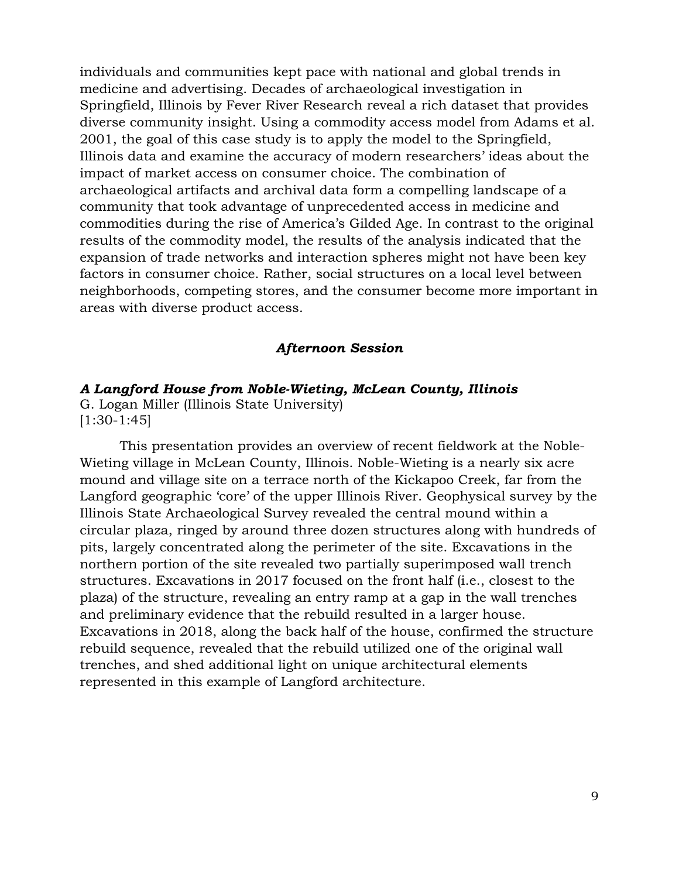individuals and communities kept pace with national and global trends in medicine and advertising. Decades of archaeological investigation in Springfield, Illinois by Fever River Research reveal a rich dataset that provides diverse community insight. Using a commodity access model from Adams et al. 2001, the goal of this case study is to apply the model to the Springfield, Illinois data and examine the accuracy of modern researchers' ideas about the impact of market access on consumer choice. The combination of archaeological artifacts and archival data form a compelling landscape of a community that took advantage of unprecedented access in medicine and commodities during the rise of America's Gilded Age. In contrast to the original results of the commodity model, the results of the analysis indicated that the expansion of trade networks and interaction spheres might not have been key factors in consumer choice. Rather, social structures on a local level between neighborhoods, competing stores, and the consumer become more important in areas with diverse product access.

#### *Afternoon Session*

#### *A Langford House from Noble-Wieting, McLean County, Illinois*

G. Logan Miller (Illinois State University) [1:30-1:45]

This presentation provides an overview of recent fieldwork at the Noble-Wieting village in McLean County, Illinois. Noble-Wieting is a nearly six acre mound and village site on a terrace north of the Kickapoo Creek, far from the Langford geographic 'core' of the upper Illinois River. Geophysical survey by the Illinois State Archaeological Survey revealed the central mound within a circular plaza, ringed by around three dozen structures along with hundreds of pits, largely concentrated along the perimeter of the site. Excavations in the northern portion of the site revealed two partially superimposed wall trench structures. Excavations in 2017 focused on the front half (i.e., closest to the plaza) of the structure, revealing an entry ramp at a gap in the wall trenches and preliminary evidence that the rebuild resulted in a larger house. Excavations in 2018, along the back half of the house, confirmed the structure rebuild sequence, revealed that the rebuild utilized one of the original wall trenches, and shed additional light on unique architectural elements represented in this example of Langford architecture.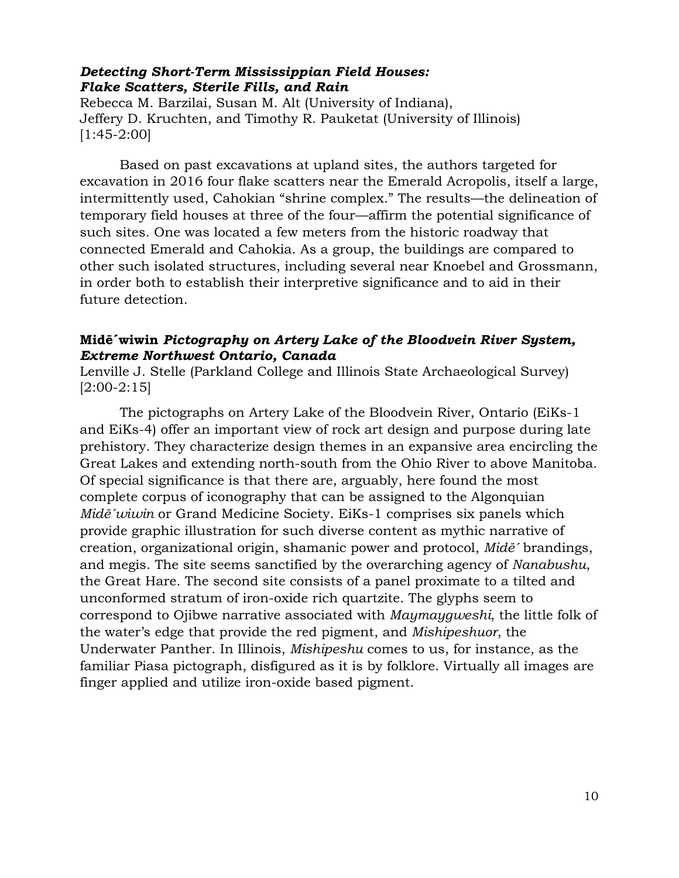#### *Detecting Short-Term Mississippian Field Houses: Flake Scatters, Sterile Fills, and Rain*

Rebecca M. Barzilai, Susan M. Alt (University of Indiana), Jeffery D. Kruchten, and Timothy R. Pauketat (University of Illinois) [1:45-2:00]

Based on past excavations at upland sites, the authors targeted for excavation in 2016 four flake scatters near the Emerald Acropolis, itself a large, intermittently used, Cahokian "shrine complex." The results—the delineation of temporary field houses at three of the four—affirm the potential significance of such sites. One was located a few meters from the historic roadway that connected Emerald and Cahokia. As a group, the buildings are compared to other such isolated structures, including several near Knoebel and Grossmann, in order both to establish their interpretive significance and to aid in their future detection.

# **Midē´wiwin** *Pictography on Artery Lake of the Bloodvein River System, Extreme Northwest Ontario, Canada*

Lenville J. Stelle (Parkland College and Illinois State Archaeological Survey) [2:00-2:15]

The pictographs on Artery Lake of the Bloodvein River, Ontario (EiKs-1 and EiKs-4) offer an important view of rock art design and purpose during late prehistory. They characterize design themes in an expansive area encircling the Great Lakes and extending north-south from the Ohio River to above Manitoba. Of special significance is that there are, arguably, here found the most complete corpus of iconography that can be assigned to the Algonquian *Midē´wiwin* or Grand Medicine Society. EiKs-1 comprises six panels which provide graphic illustration for such diverse content as mythic narrative of creation, organizational origin, shamanic power and protocol, *Midē´* brandings, and megis. The site seems sanctified by the overarching agency of *Nanabushu*, the Great Hare. The second site consists of a panel proximate to a tilted and unconformed stratum of iron-oxide rich quartzite. The glyphs seem to correspond to Ojibwe narrative associated with *Maymaygweshi*, the little folk of the water's edge that provide the red pigment, and *Mishipeshuor*, the Underwater Panther. In Illinois, *Mishipeshu* comes to us, for instance, as the familiar Piasa pictograph, disfigured as it is by folklore. Virtually all images are finger applied and utilize iron-oxide based pigment.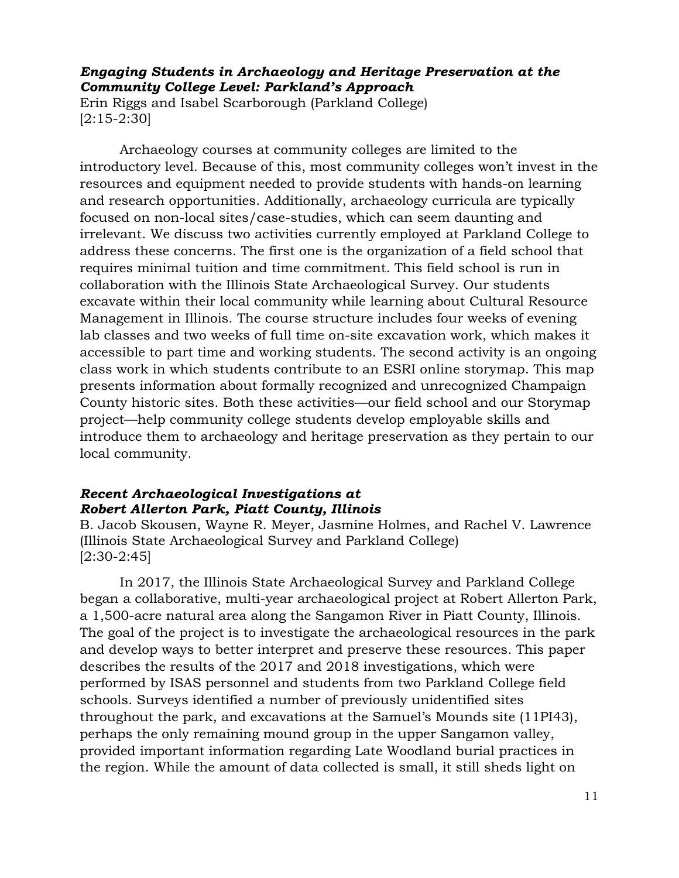# *Engaging Students in Archaeology and Heritage Preservation at the Community College Level: Parkland's Approach*

Erin Riggs and Isabel Scarborough (Parkland College) [2:15-2:30]

Archaeology courses at community colleges are limited to the introductory level. Because of this, most community colleges won't invest in the resources and equipment needed to provide students with hands-on learning and research opportunities. Additionally, archaeology curricula are typically focused on non-local sites/case-studies, which can seem daunting and irrelevant. We discuss two activities currently employed at Parkland College to address these concerns. The first one is the organization of a field school that requires minimal tuition and time commitment. This field school is run in collaboration with the Illinois State Archaeological Survey. Our students excavate within their local community while learning about Cultural Resource Management in Illinois. The course structure includes four weeks of evening lab classes and two weeks of full time on-site excavation work, which makes it accessible to part time and working students. The second activity is an ongoing class work in which students contribute to an ESRI online storymap. This map presents information about formally recognized and unrecognized Champaign County historic sites. Both these activities—our field school and our Storymap project—help community college students develop employable skills and introduce them to archaeology and heritage preservation as they pertain to our local community.

# *Recent Archaeological Investigations at Robert Allerton Park, Piatt County, Illinois*

B. Jacob Skousen, Wayne R. Meyer, Jasmine Holmes, and Rachel V. Lawrence (Illinois State Archaeological Survey and Parkland College)  $[2:30-2:45]$ 

In 2017, the Illinois State Archaeological Survey and Parkland College began a collaborative, multi-year archaeological project at Robert Allerton Park, a 1,500-acre natural area along the Sangamon River in Piatt County, Illinois. The goal of the project is to investigate the archaeological resources in the park and develop ways to better interpret and preserve these resources. This paper describes the results of the 2017 and 2018 investigations, which were performed by ISAS personnel and students from two Parkland College field schools. Surveys identified a number of previously unidentified sites throughout the park, and excavations at the Samuel's Mounds site (11PI43), perhaps the only remaining mound group in the upper Sangamon valley, provided important information regarding Late Woodland burial practices in the region. While the amount of data collected is small, it still sheds light on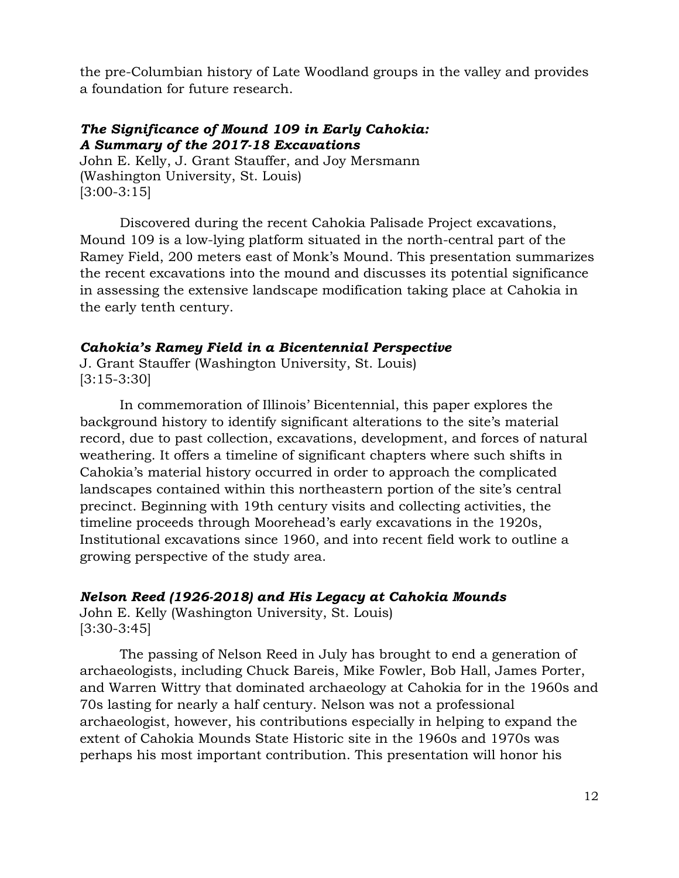the pre-Columbian history of Late Woodland groups in the valley and provides a foundation for future research.

# *The Significance of Mound 109 in Early Cahokia: A Summary of the 2017-18 Excavations*

John E. Kelly, J. Grant Stauffer, and Joy Mersmann (Washington University, St. Louis) [3:00-3:15]

Discovered during the recent Cahokia Palisade Project excavations, Mound 109 is a low-lying platform situated in the north-central part of the Ramey Field, 200 meters east of Monk's Mound. This presentation summarizes the recent excavations into the mound and discusses its potential significance in assessing the extensive landscape modification taking place at Cahokia in the early tenth century.

# *Cahokia's Ramey Field in a Bicentennial Perspective*

J. Grant Stauffer (Washington University, St. Louis) [3:15-3:30]

In commemoration of Illinois' Bicentennial, this paper explores the background history to identify significant alterations to the site's material record, due to past collection, excavations, development, and forces of natural weathering. It offers a timeline of significant chapters where such shifts in Cahokia's material history occurred in order to approach the complicated landscapes contained within this northeastern portion of the site's central precinct. Beginning with 19th century visits and collecting activities, the timeline proceeds through Moorehead's early excavations in the 1920s, Institutional excavations since 1960, and into recent field work to outline a growing perspective of the study area.

# *Nelson Reed (1926-2018) and His Legacy at Cahokia Mounds*

John E. Kelly (Washington University, St. Louis) [3:30-3:45]

The passing of Nelson Reed in July has brought to end a generation of archaeologists, including Chuck Bareis, Mike Fowler, Bob Hall, James Porter, and Warren Wittry that dominated archaeology at Cahokia for in the 1960s and 70s lasting for nearly a half century. Nelson was not a professional archaeologist, however, his contributions especially in helping to expand the extent of Cahokia Mounds State Historic site in the 1960s and 1970s was perhaps his most important contribution. This presentation will honor his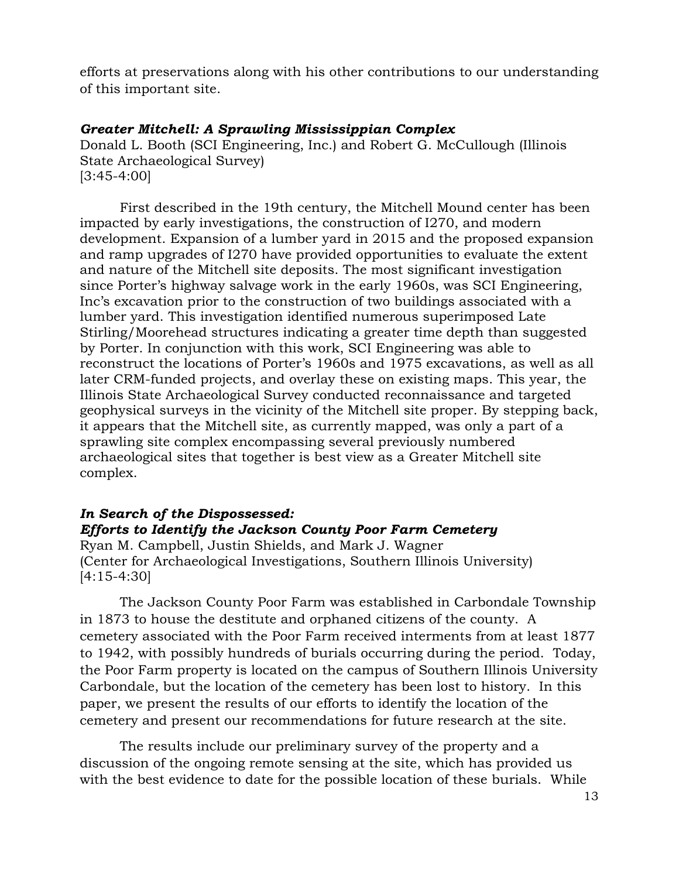efforts at preservations along with his other contributions to our understanding of this important site.

# *Greater Mitchell: A Sprawling Mississippian Complex*

Donald L. Booth (SCI Engineering, Inc.) and Robert G. McCullough (Illinois State Archaeological Survey) [3:45-4:00]

First described in the 19th century, the Mitchell Mound center has been impacted by early investigations, the construction of I270, and modern development. Expansion of a lumber yard in 2015 and the proposed expansion and ramp upgrades of I270 have provided opportunities to evaluate the extent and nature of the Mitchell site deposits. The most significant investigation since Porter's highway salvage work in the early 1960s, was SCI Engineering, Inc's excavation prior to the construction of two buildings associated with a lumber yard. This investigation identified numerous superimposed Late Stirling/Moorehead structures indicating a greater time depth than suggested by Porter. In conjunction with this work, SCI Engineering was able to reconstruct the locations of Porter's 1960s and 1975 excavations, as well as all later CRM-funded projects, and overlay these on existing maps. This year, the Illinois State Archaeological Survey conducted reconnaissance and targeted geophysical surveys in the vicinity of the Mitchell site proper. By stepping back, it appears that the Mitchell site, as currently mapped, was only a part of a sprawling site complex encompassing several previously numbered archaeological sites that together is best view as a Greater Mitchell site complex.

# *In Search of the Dispossessed:*

*Efforts to Identify the Jackson County Poor Farm Cemetery* Ryan M. Campbell, Justin Shields, and Mark J. Wagner (Center for Archaeological Investigations, Southern Illinois University) [4:15-4:30]

The Jackson County Poor Farm was established in Carbondale Township in 1873 to house the destitute and orphaned citizens of the county. A cemetery associated with the Poor Farm received interments from at least 1877 to 1942, with possibly hundreds of burials occurring during the period. Today, the Poor Farm property is located on the campus of Southern Illinois University Carbondale, but the location of the cemetery has been lost to history. In this paper, we present the results of our efforts to identify the location of the cemetery and present our recommendations for future research at the site.

The results include our preliminary survey of the property and a discussion of the ongoing remote sensing at the site, which has provided us with the best evidence to date for the possible location of these burials. While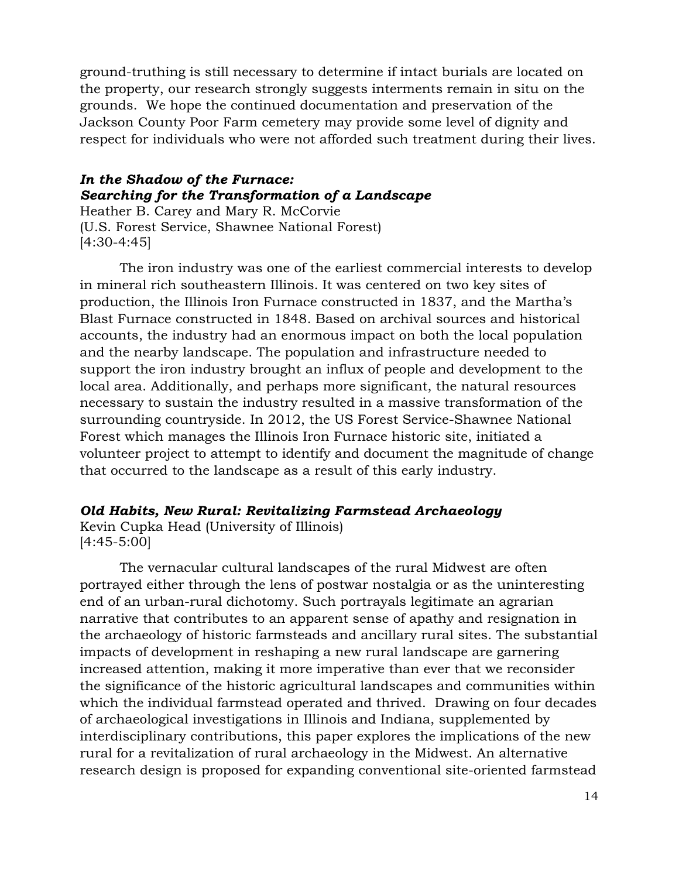ground-truthing is still necessary to determine if intact burials are located on the property, our research strongly suggests interments remain in situ on the grounds. We hope the continued documentation and preservation of the Jackson County Poor Farm cemetery may provide some level of dignity and respect for individuals who were not afforded such treatment during their lives.

# *In the Shadow of the Furnace: Searching for the Transformation of a Landscape*

Heather B. Carey and Mary R. McCorvie (U.S. Forest Service, Shawnee National Forest) [4:30-4:45]

The iron industry was one of the earliest commercial interests to develop in mineral rich southeastern Illinois. It was centered on two key sites of production, the Illinois Iron Furnace constructed in 1837, and the Martha's Blast Furnace constructed in 1848. Based on archival sources and historical accounts, the industry had an enormous impact on both the local population and the nearby landscape. The population and infrastructure needed to support the iron industry brought an influx of people and development to the local area. Additionally, and perhaps more significant, the natural resources necessary to sustain the industry resulted in a massive transformation of the surrounding countryside. In 2012, the US Forest Service-Shawnee National Forest which manages the Illinois Iron Furnace historic site, initiated a volunteer project to attempt to identify and document the magnitude of change that occurred to the landscape as a result of this early industry.

# *Old Habits, New Rural: Revitalizing Farmstead Archaeology*

Kevin Cupka Head (University of Illinois) [4:45-5:00]

The vernacular cultural landscapes of the rural Midwest are often portrayed either through the lens of postwar nostalgia or as the uninteresting end of an urban-rural dichotomy. Such portrayals legitimate an agrarian narrative that contributes to an apparent sense of apathy and resignation in the archaeology of historic farmsteads and ancillary rural sites. The substantial impacts of development in reshaping a new rural landscape are garnering increased attention, making it more imperative than ever that we reconsider the significance of the historic agricultural landscapes and communities within which the individual farmstead operated and thrived. Drawing on four decades of archaeological investigations in Illinois and Indiana, supplemented by interdisciplinary contributions, this paper explores the implications of the new rural for a revitalization of rural archaeology in the Midwest. An alternative research design is proposed for expanding conventional site-oriented farmstead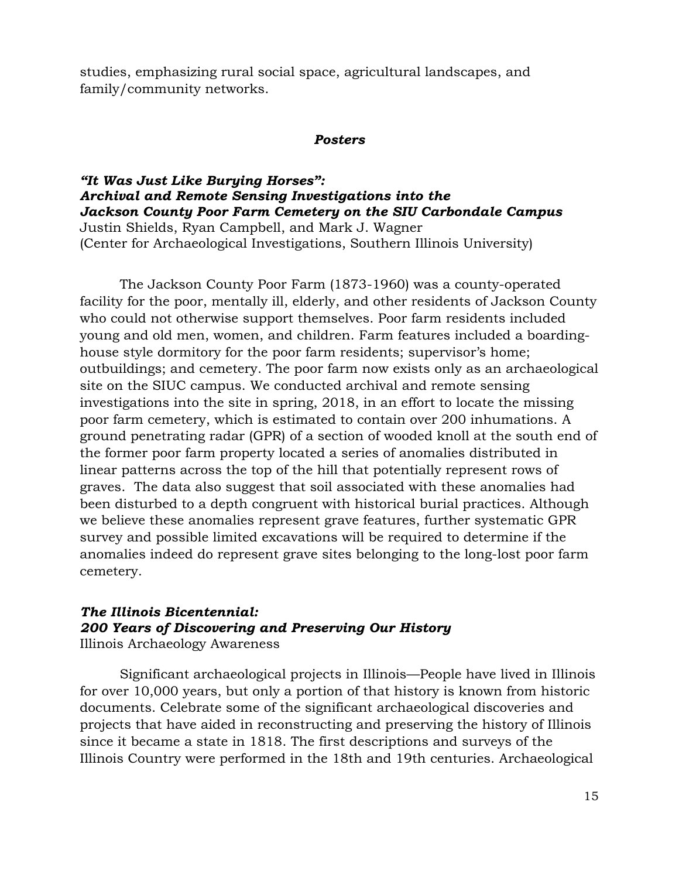studies, emphasizing rural social space, agricultural landscapes, and family/community networks.

#### *Posters*

# *"It Was Just Like Burying Horses": Archival and Remote Sensing Investigations into the Jackson County Poor Farm Cemetery on the SIU Carbondale Campus*

Justin Shields, Ryan Campbell, and Mark J. Wagner (Center for Archaeological Investigations, Southern Illinois University)

The Jackson County Poor Farm (1873-1960) was a county-operated facility for the poor, mentally ill, elderly, and other residents of Jackson County who could not otherwise support themselves. Poor farm residents included young and old men, women, and children. Farm features included a boardinghouse style dormitory for the poor farm residents; supervisor's home; outbuildings; and cemetery. The poor farm now exists only as an archaeological site on the SIUC campus. We conducted archival and remote sensing investigations into the site in spring, 2018, in an effort to locate the missing poor farm cemetery, which is estimated to contain over 200 inhumations. A ground penetrating radar (GPR) of a section of wooded knoll at the south end of the former poor farm property located a series of anomalies distributed in linear patterns across the top of the hill that potentially represent rows of graves. The data also suggest that soil associated with these anomalies had been disturbed to a depth congruent with historical burial practices. Although we believe these anomalies represent grave features, further systematic GPR survey and possible limited excavations will be required to determine if the anomalies indeed do represent grave sites belonging to the long-lost poor farm cemetery.

# *The Illinois Bicentennial: 200 Years of Discovering and Preserving Our History*

Illinois Archaeology Awareness

Significant archaeological projects in Illinois—People have lived in Illinois for over 10,000 years, but only a portion of that history is known from historic documents. Celebrate some of the significant archaeological discoveries and projects that have aided in reconstructing and preserving the history of Illinois since it became a state in 1818. The first descriptions and surveys of the Illinois Country were performed in the 18th and 19th centuries. Archaeological